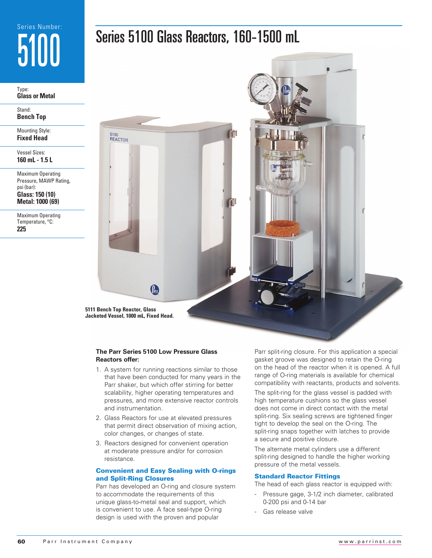# Series Number: 5100

Type: **Glass or Metal**

Stand: **Bench Top**

Mounting Style: **Fixed Head**

Vessel Sizes: **160 mL - 1.5 L**

Maximum Operating Pressure, MAWP Rating, psi (bar): **Glass: 150 (10)**

**Metal: 1000 (69)**

Maximum Operating Temperature, °C: **225**



**5111 Bench Top Reactor, Glass Jacketed Vessel, 1000 mL, Fixed Head.** 

5100<br>REACTOR

#### **The Parr Series 5100 Low Pressure Glass Reactors offer:**

Pau

- 1. A system for running reactions similar to those that have been conducted for many years in the Parr shaker, but which offer stirring for better scalability, higher operating temperatures and pressures, and more extensive reactor controls and instrumentation.
- 2. Glass Reactors for use at elevated pressures that permit direct observation of mixing action, color changes, or changes of state.
- 3. Reactors designed for convenient operation at moderate pressure and/or for corrosion resistance.

### Convenient and Easy Sealing with O-rings and Split-Ring Closures

Parr has developed an O-ring and closure system to accommodate the requirements of this unique glass-to-metal seal and support, which is convenient to use. A face seal-type O-ring design is used with the proven and popular

Parr split-ring closure. For this application a special gasket groove was designed to retain the O-ring on the head of the reactor when it is opened. A full range of O-ring materials is available for chemical compatibility with reactants, products and solvents.

The split-ring for the glass vessel is padded with high temperature cushions so the glass vessel does not come in direct contact with the metal split-ring. Six sealing screws are tightened finger tight to develop the seal on the O-ring. The split-ring snaps together with latches to provide a secure and positive closure.

The alternate metal cylinders use a different split-ring designed to handle the higher working pressure of the metal vessels.

#### Standard Reactor Fittings

The head of each glass reactor is equipped with:

- Pressure gage, 3-1/2 inch diameter, calibrated 0-200 psi and 0-14 bar
- Gas release valve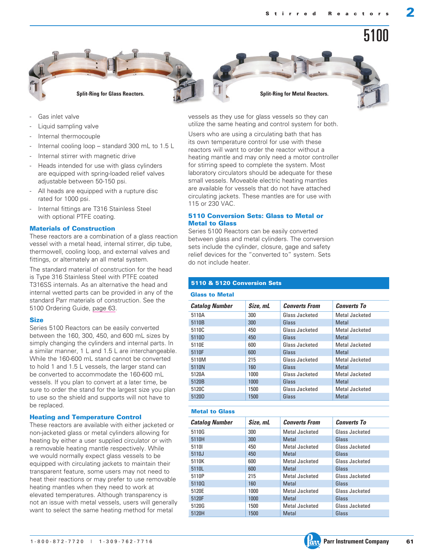



- Gas inlet valve
- Liquid sampling valve
- Internal thermocouple
- Internal cooling loop standard 300 mL to 1.5 L
- Internal stirrer with magnetic drive
- Heads intended for use with glass cylinders are equipped with spring-loaded relief valves adjustable between 50-150 psi.
- All heads are equipped with a rupture disc rated for 1000 psi.
- Internal fittings are T316 Stainless Steel with optional PTFE coating.

#### Materials of Construction

These reactors are a combination of a glass reaction vessel with a metal head, internal stirrer, dip tube, thermowell, cooling loop, and external valves and fittings, or alternately an all metal system.

The standard material of construction for the head is Type 316 Stainless Steel with PTFE coated T316SS internals. As an alternative the head and internal wetted parts can be provided in any of the standard Parr materials of construction. See the 5100 Ordering Guide, page 63.

#### **Size**

Series 5100 Reactors can be easily converted between the 160, 300, 450, and 600 mL sizes by simply changing the cylinders and internal parts. In a similar manner, 1 L and 1.5 L are interchangeable. While the 160-600 mL stand cannot be converted to hold 1 and 1.5 L vessels, the larger stand can be converted to accommodate the 160-600 mL vessels. If you plan to convert at a later time, be sure to order the stand for the largest size you plan to use so the shield and supports will not have to be replaced.

#### Heating and Temperature Control

These reactors are available with either jacketed or non-jacketed glass or metal cylinders allowing for heating by either a user supplied circulator or with a removable heating mantle respectively. While we would normally expect glass vessels to be equipped with circulating jackets to maintain their transparent feature, some users may not need to heat their reactions or may prefer to use removable heating mantles when they need to work at elevated temperatures. Although transparency is not an issue with metal vessels, users will generally want to select the same heating method for metal

vessels as they use for glass vessels so they can utilize the same heating and control system for both.

Users who are using a circulating bath that has its own temperature control for use with these reactors will want to order the reactor without a heating mantle and may only need a motor controller for stirring speed to complete the system. Most laboratory circulators should be adequate for these small vessels. Moveable electric heating mantles are available for vessels that do not have attached circulating jackets. These mantles are for use with 115 or 230 VAC.

#### 5110 Conversion Sets: Glass to Metal or Metal to Glass

Series 5100 Reactors can be easily converted between glass and metal cylinders. The conversion sets include the cylinder, closure, gage and safety relief devices for the "converted to" system. Sets do not include heater.

#### 5110 & 5120 Conversion Sets

#### Glass to Metal

| <b>Catalog Number</b> | Size, mL | <b>Converts From</b> | <b>Converts To</b> |
|-----------------------|----------|----------------------|--------------------|
| 5110A                 | 300      | Glass Jacketed       | Metal Jacketed     |
| 5110B                 | 300      | Glass                | Metal              |
| 5110C                 | 450      | Glass Jacketed       | Metal Jacketed     |
| 5110D                 | 450      | Glass                | Metal              |
| 5110E                 | 600      | Glass Jacketed       | Metal Jacketed     |
| 5110F                 | 600      | Glass                | Metal              |
| 5110M                 | 215      | Glass Jacketed       | Metal Jacketed     |
| 5110N                 | 160      | Glass                | Metal              |
| 5120A                 | 1000     | Glass Jacketed       | Metal Jacketed     |
| 5120B                 | 1000     | Glass                | Metal              |
| 5120C                 | 1500     | Glass Jacketed       | Metal Jacketed     |
| 5120D                 | 1500     | Glass                | Metal              |

### Metal to Glass

| <b>Catalog Number</b> | Size, mL | <b>Converts From</b> | <b>Converts To</b> |
|-----------------------|----------|----------------------|--------------------|
| 5110G                 | 300      | Metal Jacketed       | Glass Jacketed     |
| 5110H                 | 300      | Metal                | Glass              |
| 51101                 | 450      | Metal Jacketed       | Glass Jacketed     |
| 5110J                 | 450      | Metal                | Glass              |
| 5110K                 | 600      | Metal Jacketed       | Glass Jacketed     |
| 5110L                 | 600      | <b>Metal</b>         | Glass              |
| 5110P                 | 215      | Metal Jacketed       | Glass Jacketed     |
| 51100                 | 160      | Metal                | Glass              |
| 5120E                 | 1000     | Metal Jacketed       | Glass Jacketed     |
| 5120F                 | 1000     | Metal                | Glass              |
| 5120G                 | 1500     | Metal Jacketed       | Glass Jacketed     |
| 5120H                 | 1500     | Metal                | Glass              |

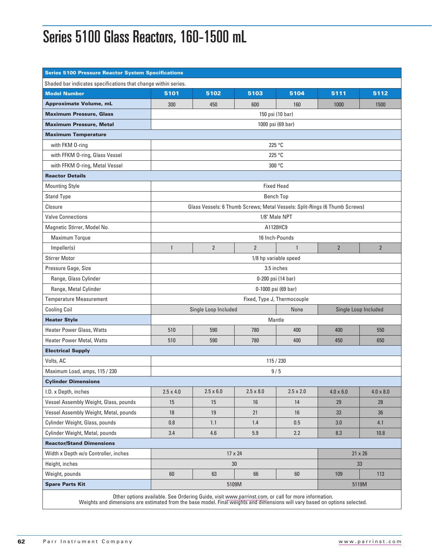### Series 5100 Glass Reactors, 160-1500 mL

| <b>Series 5100 Pressure Reactor System Specifications</b>                                                                   |                                                      |                  |                                                                                                    |                   |                  |                  |
|-----------------------------------------------------------------------------------------------------------------------------|------------------------------------------------------|------------------|----------------------------------------------------------------------------------------------------|-------------------|------------------|------------------|
| Shaded bar indicates specifications that change within series.                                                              |                                                      |                  |                                                                                                    |                   |                  |                  |
| <b>Model Number</b>                                                                                                         | 5101                                                 | 5102             | 5103                                                                                               | 5104              | 5111             | 5112             |
| <b>Approximate Volume, mL</b>                                                                                               | 300                                                  | 450              | 600                                                                                                | 160               | 1000             | 1500             |
| <b>Maximum Pressure, Glass</b>                                                                                              |                                                      |                  | 150 psi (10 bar)                                                                                   |                   |                  |                  |
| <b>Maximum Pressure, Metal</b>                                                                                              |                                                      |                  |                                                                                                    | 1000 psi (69 bar) |                  |                  |
| <b>Maximum Temperature</b>                                                                                                  |                                                      |                  |                                                                                                    |                   |                  |                  |
| with FKM 0-ring                                                                                                             | 225 °C                                               |                  |                                                                                                    |                   |                  |                  |
| with FFKM 0-ring, Glass Vessel                                                                                              | 225 °C                                               |                  |                                                                                                    |                   |                  |                  |
| with FFKM 0-ring, Metal Vessel                                                                                              |                                                      |                  | 300 °C                                                                                             |                   |                  |                  |
| <b>Reactor Details</b>                                                                                                      |                                                      |                  |                                                                                                    |                   |                  |                  |
| <b>Mounting Style</b>                                                                                                       |                                                      |                  | <b>Fixed Head</b>                                                                                  |                   |                  |                  |
| <b>Stand Type</b>                                                                                                           |                                                      |                  |                                                                                                    | <b>Bench Top</b>  |                  |                  |
| Closure                                                                                                                     |                                                      |                  | Glass Vessels: 6 Thumb Screws; Metal Vessels: Split-Rings (6 Thumb Screws)                         |                   |                  |                  |
| <b>Valve Connections</b>                                                                                                    |                                                      |                  |                                                                                                    | 1/8" Male NPT     |                  |                  |
| Magnetic Stirrer, Model No.                                                                                                 |                                                      |                  | A1120HC9                                                                                           |                   |                  |                  |
| Maximum Torque                                                                                                              |                                                      |                  | 16 Inch-Pounds                                                                                     |                   |                  |                  |
| Impeller(s)                                                                                                                 | $\mathbf{1}$                                         | $\overline{2}$   | $\overline{2}$                                                                                     | $\mathbf{1}$      | $\overline{2}$   | $\overline{2}$   |
| <b>Stirrer Motor</b>                                                                                                        |                                                      |                  | 1/8 hp variable speed                                                                              |                   |                  |                  |
| Pressure Gage, Size                                                                                                         |                                                      |                  | 3.5 inches                                                                                         |                   |                  |                  |
| Range, Glass Cylinder                                                                                                       |                                                      |                  | 0-200 psi (14 bar)                                                                                 |                   |                  |                  |
| Range, Metal Cylinder                                                                                                       |                                                      |                  | 0-1000 psi (69 bar)                                                                                |                   |                  |                  |
| <b>Temperature Measurement</b>                                                                                              |                                                      |                  | Fixed, Type J, Thermocouple                                                                        |                   |                  |                  |
| <b>Cooling Coil</b>                                                                                                         | Single Loop Included<br>None<br>Single Loop Included |                  |                                                                                                    |                   |                  |                  |
| <b>Heater Style</b>                                                                                                         |                                                      |                  | Mantle                                                                                             |                   |                  |                  |
| Heater Power Glass, Watts                                                                                                   | 510                                                  | 590              | 780                                                                                                | 400               | 400              | 550              |
| <b>Heater Power Metal, Watts</b>                                                                                            | 510                                                  | 590              | 780                                                                                                | 400               | 450              | 650              |
| <b>Electrical Supply</b>                                                                                                    |                                                      |                  |                                                                                                    |                   |                  |                  |
| Volts, AC                                                                                                                   |                                                      |                  | 115 / 230                                                                                          |                   |                  |                  |
| Maximum Load, amps, 115 / 230                                                                                               |                                                      |                  | 9/5                                                                                                |                   |                  |                  |
| <b>Cylinder Dimensions</b>                                                                                                  |                                                      |                  |                                                                                                    |                   |                  |                  |
| I.D. x Depth, inches                                                                                                        | $2.5 \times 4.0$                                     | $2.5 \times 6.0$ | $2.5 \times 8.0$                                                                                   | $2.5 \times 2.0$  | $4.0 \times 6.0$ | $4.0 \times 8.0$ |
| Vessel Assembly Weight, Glass, pounds                                                                                       | 15                                                   | 15               | 16                                                                                                 | 14                | 29               | 28               |
| Vessel Assembly Weight, Metal, pounds                                                                                       | 18                                                   | 19               | 21                                                                                                 | 16                | 33               | 36               |
| Cylinder Weight, Glass, pounds                                                                                              | 0.8                                                  | 1.1              | 1.4                                                                                                | 0.5               | 3.0              | 4.1              |
| Cylinder Weight, Metal, pounds                                                                                              | 3.4                                                  | 4.6              | 5.9                                                                                                | 2.2               | 8.3              | 10.8             |
| <b>Reactor/Stand Dimensions</b>                                                                                             |                                                      |                  |                                                                                                    |                   |                  |                  |
| Width x Depth w/o Controller, inches                                                                                        | 17 x 24<br>$21 \times 26$                            |                  |                                                                                                    |                   |                  |                  |
| Height, inches                                                                                                              |                                                      |                  | 30                                                                                                 |                   |                  | 33               |
| Weight, pounds                                                                                                              | 60                                                   | 63               | 66                                                                                                 | 60                | 109              | 113              |
| <b>Spare Parts Kit</b>                                                                                                      |                                                      |                  | 5109M                                                                                              |                   |                  | 5119M            |
| Weights and dimensions are estimated from the base model. Final weights and dimensions will vary based on options selected. |                                                      |                  | Other options available. See Ordering Guide, visit www.parrinst.com, or call for more information. |                   |                  |                  |